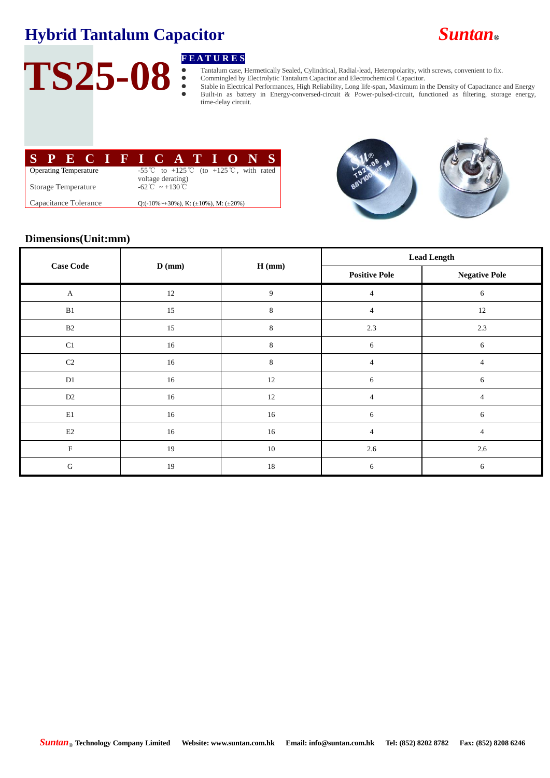

# TS25-08 **FEATURES**

Tantalum case, Hermetically Sealed, Cylindrical, Radial-lead, Heteropolarity, with screws, convenient to fix.

Commingled by Electrolytic Tantalum Capacitor and Electrochemical Capacitor.

 Stable in Electrical Performances, High Reliability, Long life-span, Maximum in the Density of Capacitance and Energy Built-in as battery in Energy-conversed-circuit & Power-pulsed-circuit, functioned as filtering, storage energy, time-delay circuit.

|                              |  |  | SPECIFICATIONS |  |  |  |                                                                |  |  |  |  |  |  |  |
|------------------------------|--|--|----------------|--|--|--|----------------------------------------------------------------|--|--|--|--|--|--|--|
| <b>Operating Temperature</b> |  |  |                |  |  |  | -55 °C to +125 °C (to +125 °C, with rated<br>voltage derating) |  |  |  |  |  |  |  |
| Storage Temperature          |  |  |                |  |  |  | $-62^{\circ}\text{C} \sim +130^{\circ}\text{C}$                |  |  |  |  |  |  |  |
| Capacitance Tolerance        |  |  |                |  |  |  | Q: $(-10\% \sim +30\%)$ , K: $(\pm 10\%)$ , M: $(\pm 20\%)$    |  |  |  |  |  |  |  |





## **Dimensions(Unit:mm)**

| <b>Case Code</b>      |        |         | <b>Lead Length</b>   |                      |  |  |
|-----------------------|--------|---------|----------------------|----------------------|--|--|
|                       | D (mm) | H (mm)  | <b>Positive Pole</b> | <b>Negative Pole</b> |  |  |
| $\boldsymbol{\rm{A}}$ | 12     | 9       | $\overline{4}$       | 6                    |  |  |
| B1                    | 15     | $\,8\,$ | $\overline{4}$       | $12\,$               |  |  |
| $\mathbf{B}2$         | 15     | 8       | 2.3                  | $2.3\,$              |  |  |
| C1                    | 16     | 8       | 6                    | 6                    |  |  |
| $\rm C2$              | 16     | $\,8\,$ | 4                    | 4                    |  |  |
| $\mathbf{D}1$         | 16     | $12\,$  | 6                    | 6                    |  |  |
| $\mathbf{D}2$         | 16     | $12\,$  | $\overline{4}$       | $\overline{4}$       |  |  |
| $\rm E1$              | 16     | 16      | 6                    | 6                    |  |  |
| E2                    | 16     | $16\,$  | $\overline{4}$       | $\overline{4}$       |  |  |
| ${\bf F}$             | 19     | $10\,$  | $2.6\,$              | $2.6\,$              |  |  |
| G                     | 19     | 18      | 6                    | 6                    |  |  |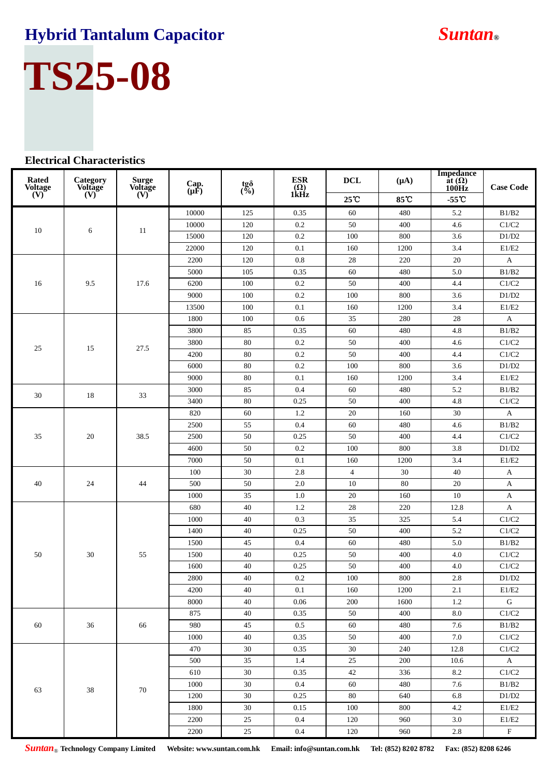

### **Electrical Characteristics**

| <b>Rated</b><br><b>Voltage</b> | Category<br><b>Voltage</b> | <b>Surge</b><br><b>Voltage</b> | Cap.<br>$(\mu \hat{F})$ | tg $\delta$<br>(%) | <b>ESR</b><br>$\widehat{1\text{kHz}}$ | <b>DCL</b>     | $(\mu A)$ | <b>Impedance</b><br>at $(\Omega)$<br>100Hz | <b>Case Code</b> |
|--------------------------------|----------------------------|--------------------------------|-------------------------|--------------------|---------------------------------------|----------------|-----------|--------------------------------------------|------------------|
| $\overline{(\text{V})}$        | $(V)^{2}$                  | $\overline{\text{W}}$          |                         |                    |                                       | 25°C           | 85°C      | $-55^{\circ}$ C                            |                  |
|                                |                            |                                | 10000                   | 125                | 0.35                                  | 60             | 480       | 5.2                                        | B1/B2            |
| 10                             | 6                          | 11                             | 10000                   | 120                | 0.2                                   | 50             | 400       | 4.6                                        | C1/C2            |
|                                |                            |                                | 15000                   | 120                | 0.2                                   | 100            | 800       | 3.6                                        | D1/D2            |
|                                |                            |                                | 22000                   | 120                | 0.1                                   | 160            | 1200      | 3.4                                        | $\rm E1/E2$      |
|                                | 9.5                        | 17.6                           | 2200                    | 120                | 0.8                                   | 28             | 220       | 20                                         | $\mathbf A$      |
|                                |                            |                                | 5000                    | 105                | 0.35                                  | 60             | 480       | 5.0                                        | B1/B2            |
| 16                             |                            |                                | 6200                    | 100                | 0.2                                   | 50             | 400       | 4.4                                        | C1/C2            |
|                                |                            |                                | 9000                    | 100                | 0.2                                   | 100            | 800       | 3.6                                        | D1/D2            |
|                                |                            |                                | 13500                   | 100                | 0.1                                   | 160            | 1200      | 3.4                                        | E1/E2            |
|                                |                            |                                | 1800                    | 100                | 0.6                                   | 35             | 280       | $28\,$                                     | $\mathbf{A}$     |
|                                |                            |                                | 3800                    | 85                 | 0.35                                  | 60             | 480       | 4.8                                        | B1/B2            |
| 25                             | 15                         | 27.5                           | 3800                    | 80                 | 0.2                                   | 50             | 400       | 4.6                                        | C1/C2            |
|                                |                            |                                | 4200                    | 80                 | 0.2                                   | 50             | 400       | 4.4                                        | $\rm C1/C2$      |
|                                |                            |                                | 6000                    | 80                 | 0.2                                   | 100            | 800       | 3.6                                        | D1/D2            |
|                                |                            |                                | 9000                    | 80                 | 0.1                                   | 160            | 1200      | 3.4                                        | $\rm E1/E2$      |
| 30                             | 18                         | 33                             | 3000                    | 85                 | 0.4                                   | 60             | 480       | 5.2                                        | B1/B2            |
|                                |                            |                                | 3400                    | 80                 | 0.25                                  | 50             | 400       | 4.8                                        | C1/C2            |
|                                | 20                         | 38.5                           | 820                     | 60                 | 1.2                                   | 20             | 160       | $30\,$                                     | A                |
|                                |                            |                                | 2500                    | 55                 | 0.4                                   | 60             | 480       | 4.6                                        | B1/B2            |
| 35                             |                            |                                | 2500                    | 50                 | 0.25                                  | 50             | 400       | 4.4                                        | C1/C2            |
|                                |                            |                                | 4600                    | 50                 | 0.2                                   | 100            | 800       | 3.8                                        | D1/D2            |
|                                |                            |                                | 7000                    | 50                 | 0.1                                   | 160            | 1200      | 3.4                                        | $\rm E1/E2$      |
|                                | 24                         | 44                             | 100                     | 30                 | 2.8                                   | $\overline{4}$ | 30        | 40                                         | $\mathbf{A}$     |
| 40                             |                            |                                | 500                     | 50                 | 2.0                                   | 10             | 80        | 20                                         | A                |
|                                |                            |                                | 1000                    | 35                 | 1.0                                   | 20             | 160       | $10\,$                                     | A                |
|                                | 30                         | 55                             | 680                     | 40                 | 1.2                                   | 28             | 220       | 12.8                                       | A                |
|                                |                            |                                | 1000                    | 40                 | 0.3                                   | 35             | 325       | 5.4                                        | C1/C2            |
|                                |                            |                                | 1400                    | 40                 | 0.25                                  | 50             | 400       | 5.2                                        | C1/C2            |
|                                |                            |                                | 1500                    | 45                 | 0.4                                   | 60             | 480       | 5.0                                        | B1/B2            |
| 50                             |                            |                                | 1500                    | 40                 | 0.25                                  | 50             | 400       | 4.0                                        | $\rm C1/C2$      |
|                                |                            |                                | 1600                    | 40                 | 0.25                                  | 50             | 400       | 4.0                                        | C1/C2            |
|                                |                            |                                | 2800                    | 40                 | 0.2                                   | 100            | 800       | 2.8                                        | D1/D2            |
|                                |                            |                                | 4200                    | 40                 | $0.1\,$                               | 160            | 1200      | 2.1                                        | E1/E2            |
|                                |                            |                                | 8000                    | 40                 | 0.06                                  | 200            | 1600      | 1.2                                        | G                |
| 60                             | 36                         | 66                             | 875                     | 40                 | 0.35                                  | 50             | 400       | 8.0                                        | C1/C2            |
|                                |                            |                                | 980                     | 45                 | 0.5                                   | 60             | 480       | 7.6                                        | B1/B2            |
|                                |                            |                                | 1000                    | 40                 | 0.35                                  | 50             | 400       | 7.0                                        | C1/C2            |
|                                | 38                         | 70                             | 470                     | 30                 | 0.35                                  | 30             | 240       | 12.8                                       | C1/C2            |
|                                |                            |                                | 500                     | 35                 | 1.4                                   | 25             | 200       | 10.6                                       | $\mathbf{A}$     |
|                                |                            |                                | 610                     | 30                 | 0.35                                  | 42             | 336       | 8.2                                        | C1/C2            |
|                                |                            |                                | 1000                    | 30                 | 0.4                                   | 60             | 480       | 7.6                                        | B1/B2            |
| 63                             |                            |                                | 1200                    | 30                 | 0.25                                  | 80             | 640       | 6.8                                        | D1/D2            |
|                                |                            |                                | 1800                    | 30                 | 0.15                                  | 100            | 800       | 4.2                                        | E1/E2            |
|                                |                            |                                | 2200                    | 25                 | 0.4                                   | 120            | 960       | 3.0                                        | E1/E2            |
|                                |                            |                                | 2200                    | $25\,$             | $0.4\,$                               | 120            | 960       | 2.8                                        | $\mathbf F$      |

*Suntan*® **Technology Company Limited Website: www.suntan.com.hk Email: info@suntan.com.hk Tel: (852) 8202 8782 Fax: (852) 8208 6246**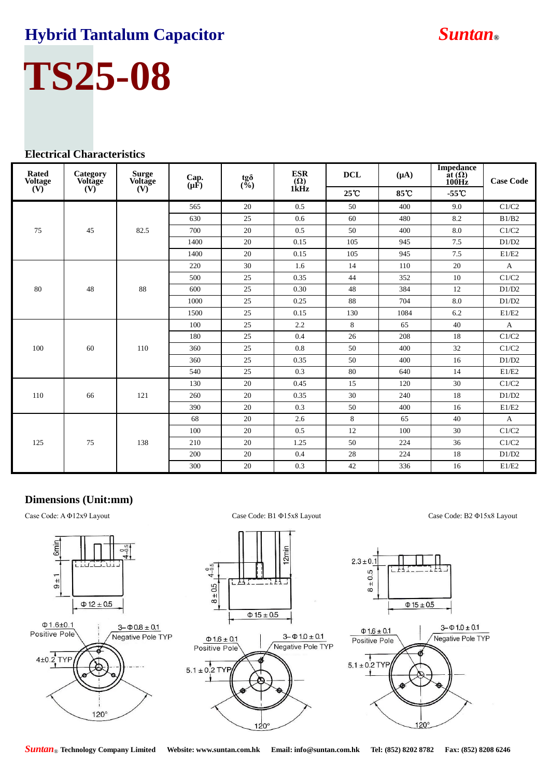# **TS25-08**

## **Electrical Characteristics**

| <b>Rated</b><br><b>Voltage</b> | Category<br>Voltage | <b>Surge</b><br><b>Voltage</b> | $\operatorname*{Cap.}_{(\mu\mathbb{F})}$ | tg $\delta$<br>(%) | <b>ESR</b><br>$\overline{\overset{(\Omega)}{\text{1kHz}}}$ | <b>DCL</b> | $(\mu A)$ | <b>Impedance</b><br>at $(\Omega)$<br>100Hz | <b>Case Code</b> |
|--------------------------------|---------------------|--------------------------------|------------------------------------------|--------------------|------------------------------------------------------------|------------|-----------|--------------------------------------------|------------------|
| (V)                            | (V)                 | (V)                            |                                          |                    |                                                            | 25°C       | 85℃       | $-55^{\circ}$ C                            |                  |
|                                | 45                  | 82.5                           | 565                                      | 20                 | 0.5                                                        | 50         | 400       | 9.0                                        | C1/C2            |
|                                |                     |                                | 630                                      | 25                 | 0.6                                                        | 60         | 480       | 8.2                                        | B1/B2            |
| 75                             |                     |                                | 700                                      | 20                 | 0.5                                                        | 50         | 400       | 8.0                                        | C1/C2            |
|                                |                     |                                | 1400                                     | 20                 | 0.15                                                       | 105        | 945       | 7.5                                        | D1/D2            |
|                                |                     |                                | 1400                                     | 20                 | 0.15                                                       | 105        | 945       | 7.5                                        | E1/E2            |
|                                |                     | 88                             | 220                                      | 30                 | 1.6                                                        | 14         | 110       | 20                                         | $\mathbf{A}$     |
|                                | 48                  |                                | 500                                      | 25                 | 0.35                                                       | 44         | 352       | 10                                         | C1/C2            |
| 80                             |                     |                                | 600                                      | 25                 | 0.30                                                       | 48         | 384       | 12                                         | D1/D2            |
|                                |                     |                                | 1000                                     | 25                 | 0.25                                                       | 88         | 704       | 8.0                                        | D1/D2            |
|                                |                     |                                | 1500                                     | 25                 | 0.15                                                       | 130        | 1084      | 6.2                                        | E1/E2            |
|                                | 60                  | 110                            | 100                                      | 25                 | 2.2                                                        | 8          | 65        | 40                                         | A                |
|                                |                     |                                | 180                                      | 25                 | 0.4                                                        | 26         | 208       | 18                                         | C1/C2            |
| 100                            |                     |                                | 360                                      | 25                 | 0.8                                                        | 50         | 400       | 32                                         | C1/C2            |
|                                |                     |                                | 360                                      | 25                 | 0.35                                                       | 50         | 400       | 16                                         | D1/D2            |
|                                |                     |                                | 540                                      | 25                 | 0.3                                                        | 80         | 640       | 14                                         | E1/E2            |
|                                | 66                  | 121                            | 130                                      | 20                 | 0.45                                                       | 15         | 120       | 30                                         | C1/C2            |
| 110                            |                     |                                | 260                                      | 20                 | 0.35                                                       | 30         | 240       | 18                                         | D1/D2            |
|                                |                     |                                | 390                                      | 20                 | 0.3                                                        | 50         | 400       | 16                                         | E1/E2            |
| 125                            | 75                  | 138                            | 68                                       | 20                 | 2.6                                                        | 8          | 65        | 40                                         | $\mathbf{A}$     |
|                                |                     |                                | 100                                      | 20                 | 0.5                                                        | 12         | 100       | 30                                         | C1/C2            |
|                                |                     |                                | 210                                      | 20                 | 1.25                                                       | 50         | 224       | 36                                         | C1/C2            |
|                                |                     |                                | 200                                      | 20                 | 0.4                                                        | 28         | 224       | 18                                         | D1/D2            |
|                                |                     |                                |                                          |                    | 300                                                        | 20         | 0.3       | 42                                         | 336              |

### **Dimensions (Unit:mm)**

Case Code: A Φ12x9 Layout Case Code: B1 Φ15x8 Layout Case Code: B2 Φ15x8 Layout









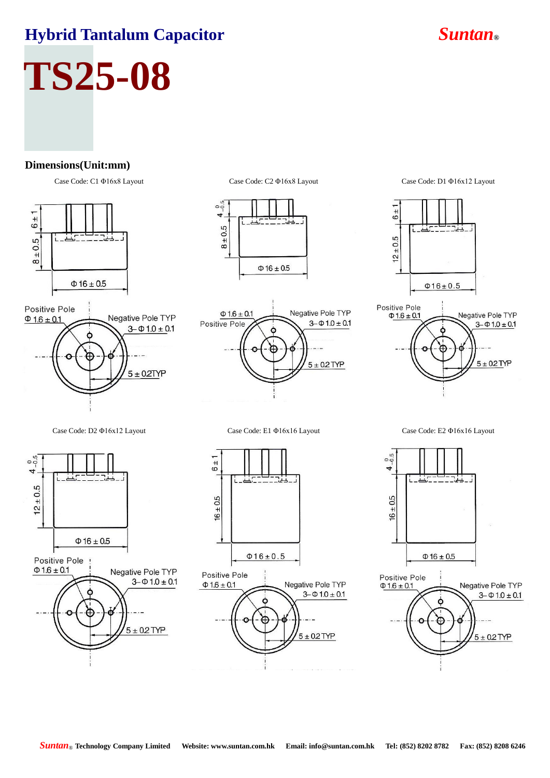# **TS25-08**

### **Dimensions(Unit:mm)**









Case Code: C1 Φ16x8 Layout Case Code: C2 Φ16x8 Layout Case Code: D1 Φ16x12 Layout





Case Code: D2 Φ16x12 Layout Case Code: E1 Φ16x16 Layout Case Code: E2 Φ16x16 Layout



Positive Pole  $\Phi$  1.6 ± 0.1